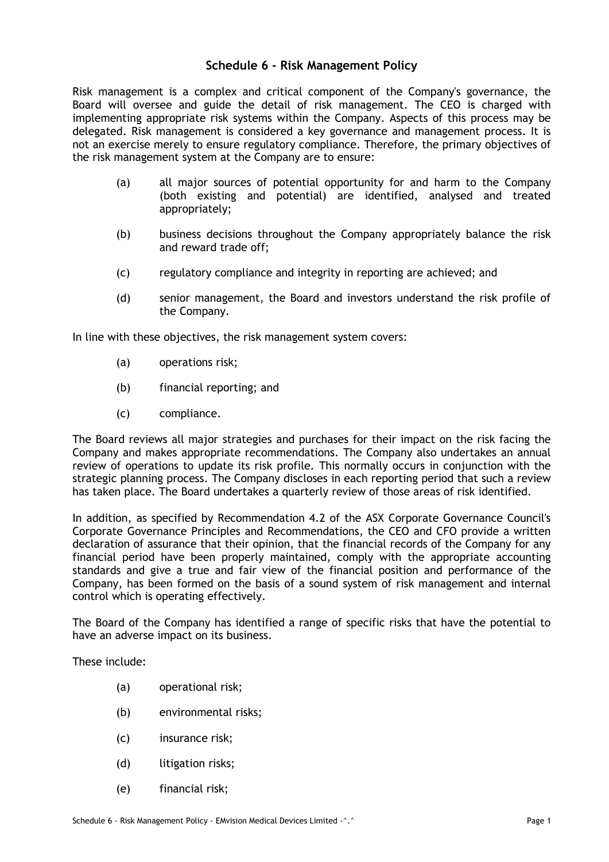## **Schedule 6 - Risk Management Policy**

Risk management is a complex and critical component of the Company's governance, the Board will oversee and guide the detail of risk management. The CEO is charged with implementing appropriate risk systems within the Company. Aspects of this process may be delegated. Risk management is considered a key governance and management process. It is not an exercise merely to ensure regulatory compliance. Therefore, the primary objectives of the risk management system at the Company are to ensure:

- (a) all major sources of potential opportunity for and harm to the Company (both existing and potential) are identified, analysed and treated appropriately;
- (b) business decisions throughout the Company appropriately balance the risk and reward trade off;
- (c) regulatory compliance and integrity in reporting are achieved; and
- (d) senior management, the Board and investors understand the risk profile of the Company.

In line with these objectives, the risk management system covers:

- (a) operations risk;
- (b) financial reporting; and
- (c) compliance.

The Board reviews all major strategies and purchases for their impact on the risk facing the Company and makes appropriate recommendations. The Company also undertakes an annual review of operations to update its risk profile. This normally occurs in conjunction with the strategic planning process. The Company discloses in each reporting period that such a review has taken place. The Board undertakes a quarterly review of those areas of risk identified.

In addition, as specified by Recommendation 4.2 of the ASX Corporate Governance Council's Corporate Governance Principles and Recommendations, the CEO and CFO provide a written declaration of assurance that their opinion, that the financial records of the Company for any financial period have been properly maintained, comply with the appropriate accounting standards and give a true and fair view of the financial position and performance of the Company, has been formed on the basis of a sound system of risk management and internal control which is operating effectively.

The Board of the Company has identified a range of specific risks that have the potential to have an adverse impact on its business.

These include:

- (a) operational risk;
- (b) environmental risks;
- (c) insurance risk;
- (d) litigation risks;
- (e) financial risk;